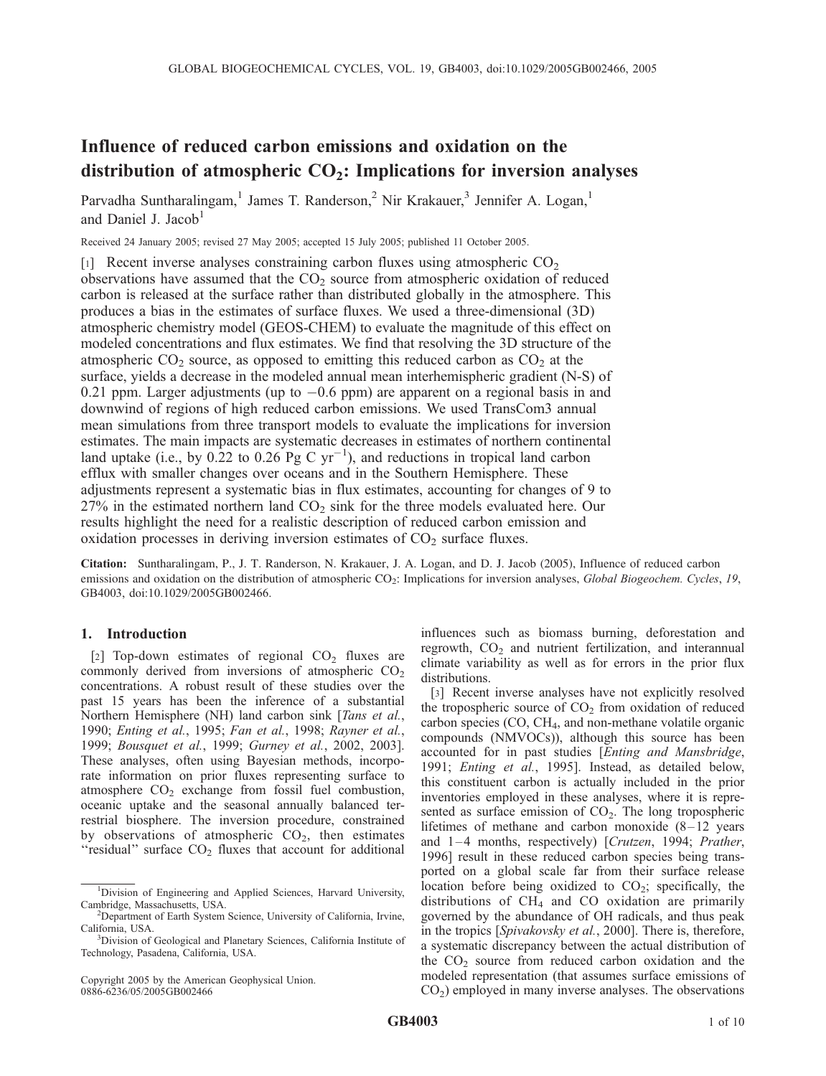# Influence of reduced carbon emissions and oxidation on the distribution of atmospheric  $CO<sub>2</sub>$ : Implications for inversion analyses

Parvadha Suntharalingam,<sup>1</sup> James T. Randerson,<sup>2</sup> Nir Krakauer,<sup>3</sup> Jennifer A. Logan,<sup>1</sup> and Daniel J. Jacob<sup>1</sup>

Received 24 January 2005; revised 27 May 2005; accepted 15 July 2005; published 11 October 2005.

[1] Recent inverse analyses constraining carbon fluxes using atmospheric  $CO<sub>2</sub>$ observations have assumed that the  $CO<sub>2</sub>$  source from atmospheric oxidation of reduced carbon is released at the surface rather than distributed globally in the atmosphere. This produces a bias in the estimates of surface fluxes. We used a three-dimensional (3D) atmospheric chemistry model (GEOS-CHEM) to evaluate the magnitude of this effect on modeled concentrations and flux estimates. We find that resolving the 3D structure of the atmospheric  $CO_2$  source, as opposed to emitting this reduced carbon as  $CO_2$  at the surface, yields a decrease in the modeled annual mean interhemispheric gradient (N-S) of 0.21 ppm. Larger adjustments (up to  $-0.6$  ppm) are apparent on a regional basis in and downwind of regions of high reduced carbon emissions. We used TransCom3 annual mean simulations from three transport models to evaluate the implications for inversion estimates. The main impacts are systematic decreases in estimates of northern continental land uptake (i.e., by 0.22 to 0.26 Pg C yr<sup>-1</sup>), and reductions in tropical land carbon efflux with smaller changes over oceans and in the Southern Hemisphere. These adjustments represent a systematic bias in flux estimates, accounting for changes of 9 to  $27\%$  in the estimated northern land  $CO<sub>2</sub>$  sink for the three models evaluated here. Our results highlight the need for a realistic description of reduced carbon emission and oxidation processes in deriving inversion estimates of  $CO<sub>2</sub>$  surface fluxes.

Citation: Suntharalingam, P., J. T. Randerson, N. Krakauer, J. A. Logan, and D. J. Jacob (2005), Influence of reduced carbon emissions and oxidation on the distribution of atmospheric CO<sub>2</sub>: Implications for inversion analyses, Global Biogeochem. Cycles, 19, GB4003, doi:10.1029/2005GB002466.

### 1. Introduction

[2] Top-down estimates of regional  $CO<sub>2</sub>$  fluxes are commonly derived from inversions of atmospheric  $CO<sub>2</sub>$ concentrations. A robust result of these studies over the past 15 years has been the inference of a substantial Northern Hemisphere (NH) land carbon sink [*Tans et al.*, 1990; Enting et al., 1995; Fan et al., 1998; Rayner et al., 1999; Bousquet et al., 1999; Gurney et al., 2002, 2003]. These analyses, often using Bayesian methods, incorporate information on prior fluxes representing surface to atmosphere  $CO<sub>2</sub>$  exchange from fossil fuel combustion, oceanic uptake and the seasonal annually balanced terrestrial biosphere. The inversion procedure, constrained by observations of atmospheric  $CO<sub>2</sub>$ , then estimates "residual" surface  $CO<sub>2</sub>$  fluxes that account for additional

Copyright 2005 by the American Geophysical Union. 0886-6236/05/2005GB002466

influences such as biomass burning, deforestation and regrowth,  $CO<sub>2</sub>$  and nutrient fertilization, and interannual climate variability as well as for errors in the prior flux distributions.

[3] Recent inverse analyses have not explicitly resolved the tropospheric source of  $CO<sub>2</sub>$  from oxidation of reduced carbon species (CO, CH<sub>4</sub>, and non-methane volatile organic compounds (NMVOCs)), although this source has been accounted for in past studies [Enting and Mansbridge, 1991; Enting et al., 1995]. Instead, as detailed below, this constituent carbon is actually included in the prior inventories employed in these analyses, where it is represented as surface emission of  $CO<sub>2</sub>$ . The long tropospheric lifetimes of methane and carbon monoxide  $(8-12)$  years and  $1-4$  months, respectively) [Crutzen, 1994; Prather, 1996] result in these reduced carbon species being transported on a global scale far from their surface release location before being oxidized to  $CO<sub>2</sub>$ ; specifically, the distributions of  $CH<sub>4</sub>$  and CO oxidation are primarily governed by the abundance of OH radicals, and thus peak in the tropics [Spivakovsky et al., 2000]. There is, therefore, a systematic discrepancy between the actual distribution of the  $CO<sub>2</sub>$  source from reduced carbon oxidation and the modeled representation (that assumes surface emissions of  $CO<sub>2</sub>$ ) employed in many inverse analyses. The observations

<sup>&</sup>lt;sup>1</sup>Division of Engineering and Applied Sciences, Harvard University, Cambridge, Massachusetts, USA. <sup>2</sup>

<sup>&</sup>lt;sup>2</sup>Department of Earth System Science, University of California, Irvine, California, USA.

Division of Geological and Planetary Sciences, California Institute of Technology, Pasadena, California, USA.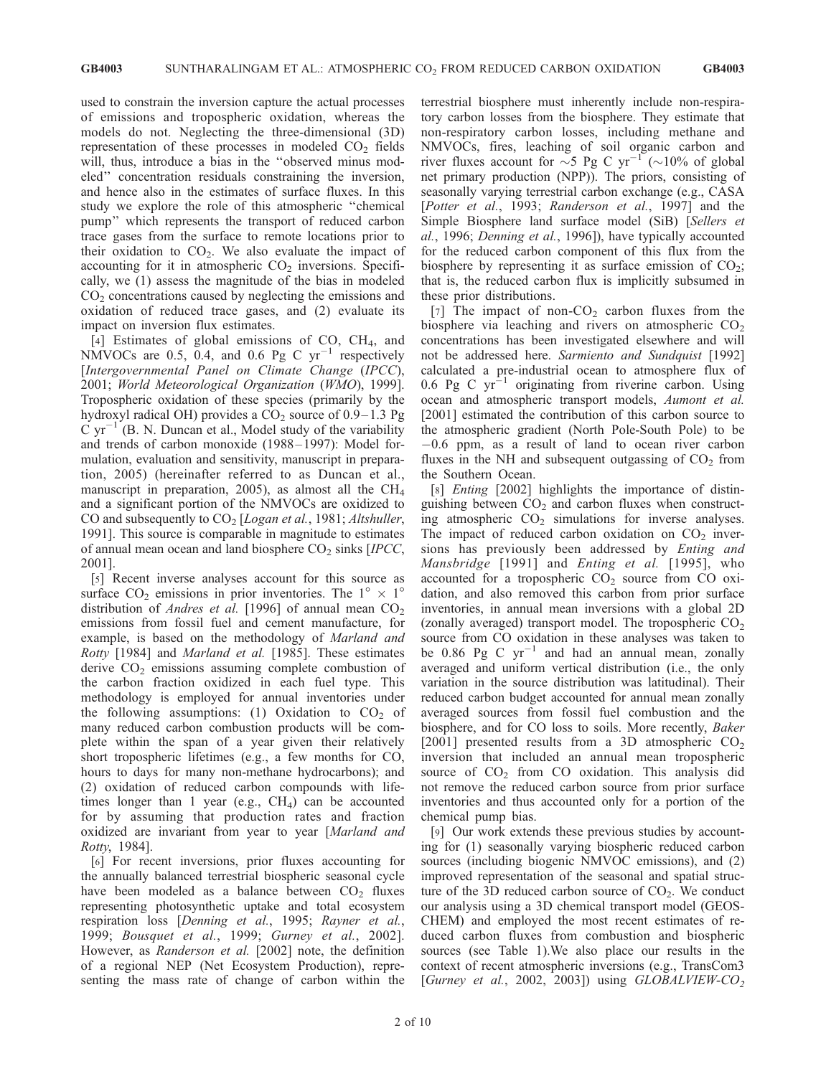used to constrain the inversion capture the actual processes of emissions and tropospheric oxidation, whereas the models do not. Neglecting the three-dimensional (3D) representation of these processes in modeled  $CO<sub>2</sub>$  fields will, thus, introduce a bias in the ''observed minus modeled'' concentration residuals constraining the inversion, and hence also in the estimates of surface fluxes. In this study we explore the role of this atmospheric ''chemical pump'' which represents the transport of reduced carbon trace gases from the surface to remote locations prior to their oxidation to  $CO<sub>2</sub>$ . We also evaluate the impact of accounting for it in atmospheric  $CO<sub>2</sub>$  inversions. Specifically, we (1) assess the magnitude of the bias in modeled  $CO<sub>2</sub>$  concentrations caused by neglecting the emissions and oxidation of reduced trace gases, and (2) evaluate its impact on inversion flux estimates.

[4] Estimates of global emissions of  $CO$ ,  $CH<sub>4</sub>$ , and NMVOCs are 0.5, 0.4, and 0.6 Pg C  $yr^{-1}$  respectively [Intergovernmental Panel on Climate Change (IPCC), 2001; World Meteorological Organization (WMO), 1999]. Tropospheric oxidation of these species (primarily by the hydroxyl radical OH) provides a  $CO<sub>2</sub>$  source of 0.9–1.3 Pg  $C yr^{-1}$  (B. N. Duncan et al., Model study of the variability and trends of carbon monoxide (1988-1997): Model formulation, evaluation and sensitivity, manuscript in preparation, 2005) (hereinafter referred to as Duncan et al., manuscript in preparation, 2005), as almost all the  $CH<sub>4</sub>$ and a significant portion of the NMVOCs are oxidized to CO and subsequently to  $CO<sub>2</sub>$  [Logan et al., 1981; Altshuller, 1991]. This source is comparable in magnitude to estimates of annual mean ocean and land biosphere  $CO<sub>2</sub>$  sinks [IPCC, 2001].

[5] Recent inverse analyses account for this source as surface  $CO_2$  emissions in prior inventories. The  $1^{\circ} \times 1^{\circ}$ distribution of *Andres et al.* [1996] of annual mean  $CO<sub>2</sub>$ emissions from fossil fuel and cement manufacture, for example, is based on the methodology of Marland and Rotty [1984] and Marland et al. [1985]. These estimates derive  $CO<sub>2</sub>$  emissions assuming complete combustion of the carbon fraction oxidized in each fuel type. This methodology is employed for annual inventories under the following assumptions: (1) Oxidation to  $CO<sub>2</sub>$  of many reduced carbon combustion products will be complete within the span of a year given their relatively short tropospheric lifetimes (e.g., a few months for CO, hours to days for many non-methane hydrocarbons); and (2) oxidation of reduced carbon compounds with lifetimes longer than 1 year (e.g.,  $CH<sub>4</sub>$ ) can be accounted for by assuming that production rates and fraction oxidized are invariant from year to year [Marland and Rotty, 1984].

[6] For recent inversions, prior fluxes accounting for the annually balanced terrestrial biospheric seasonal cycle have been modeled as a balance between  $CO<sub>2</sub>$  fluxes representing photosynthetic uptake and total ecosystem respiration loss [Denning et al., 1995; Rayner et al., 1999; Bousquet et al., 1999; Gurney et al., 2002]. However, as Randerson et al. [2002] note, the definition of a regional NEP (Net Ecosystem Production), representing the mass rate of change of carbon within the

terrestrial biosphere must inherently include non-respiratory carbon losses from the biosphere. They estimate that non-respiratory carbon losses, including methane and NMVOCs, fires, leaching of soil organic carbon and river fluxes account for  $\sim$ 5 Pg C yr<sup>-1</sup> ( $\sim$ 10% of global net primary production (NPP)). The priors, consisting of seasonally varying terrestrial carbon exchange (e.g., CASA [Potter et al., 1993; Randerson et al., 1997] and the Simple Biosphere land surface model (SiB) [Sellers et al., 1996; Denning et al., 1996]), have typically accounted for the reduced carbon component of this flux from the biosphere by representing it as surface emission of  $CO<sub>2</sub>$ ; that is, the reduced carbon flux is implicitly subsumed in these prior distributions.

[7] The impact of non- $CO<sub>2</sub>$  carbon fluxes from the biosphere via leaching and rivers on atmospheric  $CO<sub>2</sub>$ concentrations has been investigated elsewhere and will not be addressed here. Sarmiento and Sundquist [1992] calculated a pre-industrial ocean to atmosphere flux of 0.6 Pg C  $yr^{-1}$  originating from riverine carbon. Using ocean and atmospheric transport models, Aumont et al. [2001] estimated the contribution of this carbon source to the atmospheric gradient (North Pole-South Pole) to be  $-0.6$  ppm, as a result of land to ocean river carbon fluxes in the NH and subsequent outgassing of  $CO<sub>2</sub>$  from the Southern Ocean.

[8] *Enting* [2002] highlights the importance of distinguishing between  $CO<sub>2</sub>$  and carbon fluxes when constructing atmospheric  $CO<sub>2</sub>$  simulations for inverse analyses. The impact of reduced carbon oxidation on  $CO<sub>2</sub>$  inversions has previously been addressed by Enting and Mansbridge [1991] and Enting et al. [1995], who accounted for a tropospheric  $CO<sub>2</sub>$  source from CO oxidation, and also removed this carbon from prior surface inventories, in annual mean inversions with a global 2D (zonally averaged) transport model. The tropospheric  $CO<sub>2</sub>$ source from CO oxidation in these analyses was taken to be 0.86 Pg C  $yr^{-1}$  and had an annual mean, zonally averaged and uniform vertical distribution (i.e., the only variation in the source distribution was latitudinal). Their reduced carbon budget accounted for annual mean zonally averaged sources from fossil fuel combustion and the biosphere, and for CO loss to soils. More recently, Baker [2001] presented results from a 3D atmospheric  $CO<sub>2</sub>$ inversion that included an annual mean tropospheric source of  $CO<sub>2</sub>$  from CO oxidation. This analysis did not remove the reduced carbon source from prior surface inventories and thus accounted only for a portion of the chemical pump bias.

[9] Our work extends these previous studies by accounting for (1) seasonally varying biospheric reduced carbon sources (including biogenic NMVOC emissions), and (2) improved representation of the seasonal and spatial structure of the 3D reduced carbon source of  $CO<sub>2</sub>$ . We conduct our analysis using a 3D chemical transport model (GEOS-CHEM) and employed the most recent estimates of reduced carbon fluxes from combustion and biospheric sources (see Table 1).We also place our results in the context of recent atmospheric inversions (e.g., TransCom3 [Gurney et al., 2002, 2003]) using  $GLOBALVIEW-CO<sub>2</sub>$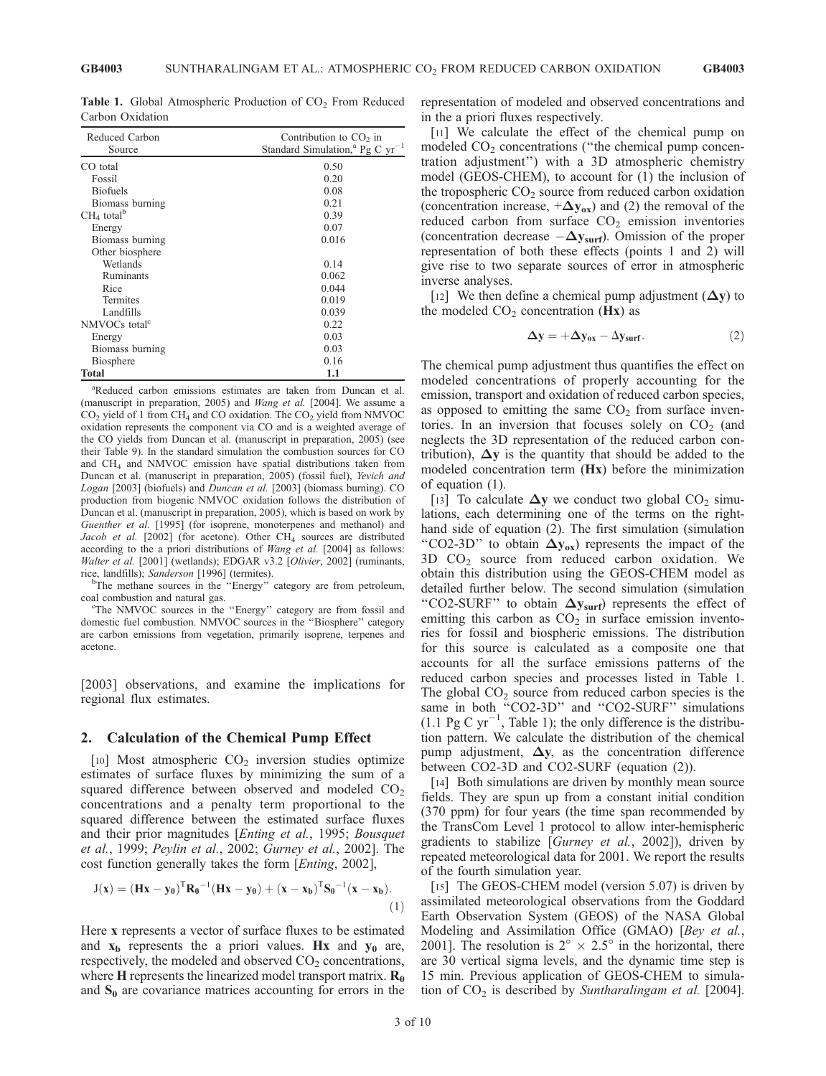**Table 1.** Global Atmospheric Production of  $CO<sub>2</sub>$  From Reduced Carbon Oxidation

| Reduced Carbon<br>Source  | Contribution to $CO2$ in<br>Standard Simulation, <sup>a</sup> Pg C $yr^{-1}$ |  |  |  |  |  |
|---------------------------|------------------------------------------------------------------------------|--|--|--|--|--|
|                           |                                                                              |  |  |  |  |  |
| CO total                  | 0.50                                                                         |  |  |  |  |  |
| Fossil                    | 0.20                                                                         |  |  |  |  |  |
| <b>Biofuels</b>           | 0.08                                                                         |  |  |  |  |  |
| Biomass burning           | 0.21                                                                         |  |  |  |  |  |
| $CH4$ total <sup>b</sup>  | 0.39                                                                         |  |  |  |  |  |
| Energy                    | 0.07                                                                         |  |  |  |  |  |
| Biomass burning           | 0.016                                                                        |  |  |  |  |  |
| Other biosphere           |                                                                              |  |  |  |  |  |
| Wetlands                  | 0.14                                                                         |  |  |  |  |  |
| Ruminants                 | 0.062                                                                        |  |  |  |  |  |
| Rice                      | 0.044                                                                        |  |  |  |  |  |
| <b>Termites</b>           | 0.019                                                                        |  |  |  |  |  |
| Landfills                 | 0.039                                                                        |  |  |  |  |  |
| NMVOCs total <sup>c</sup> | 0.22                                                                         |  |  |  |  |  |
| Energy                    | 0.03                                                                         |  |  |  |  |  |
| Biomass burning           | 0.03                                                                         |  |  |  |  |  |
| Biosphere                 | 0.16                                                                         |  |  |  |  |  |
| Total                     | 1.1                                                                          |  |  |  |  |  |

a Reduced carbon emissions estimates are taken from Duncan et al. (manuscript in preparation, 2005) and Wang et al. [2004]. We assume a  $CO<sub>2</sub>$  yield of 1 from CH<sub>4</sub> and CO oxidation. The  $CO<sub>2</sub>$  yield from NMVOC oxidation represents the component via CO and is a weighted average of the CO yields from Duncan et al. (manuscript in preparation, 2005) (see their Table 9). In the standard simulation the combustion sources for CO and CH4 and NMVOC emission have spatial distributions taken from Duncan et al. (manuscript in preparation, 2005) (fossil fuel), Yevich and Logan [2003] (biofuels) and Duncan et al. [2003] (biomass burning). CO production from biogenic NMVOC oxidation follows the distribution of Duncan et al. (manuscript in preparation, 2005), which is based on work by Guenther et al. [1995] (for isoprene, monoterpenes and methanol) and Jacob et al.  $[2002]$  (for acetone). Other CH<sub>4</sub> sources are distributed according to the a priori distributions of Wang et al. [2004] as follows: Walter et al. [2001] (wetlands); EDGAR v3.2 [Olivier, 2002] (ruminants, rice, landfills); Sanderson [1996] (termites).

<sup>b</sup>The methane sources in the "Energy" category are from petroleum, coal combustion and natural gas.

The NMVOC sources in the ''Energy'' category are from fossil and domestic fuel combustion. NMVOC sources in the ''Biosphere'' category are carbon emissions from vegetation, primarily isoprene, terpenes and acetone.

[2003] observations, and examine the implications for regional flux estimates.

#### 2. Calculation of the Chemical Pump Effect

[10] Most atmospheric  $CO<sub>2</sub>$  inversion studies optimize estimates of surface fluxes by minimizing the sum of a squared difference between observed and modeled  $CO<sub>2</sub>$ concentrations and a penalty term proportional to the squared difference between the estimated surface fluxes and their prior magnitudes [Enting et al., 1995; Bousquet et al., 1999; Peylin et al., 2002; Gurney et al., 2002]. The cost function generally takes the form [Enting, 2002],

$$
J(x) = (Hx - y_0)^T R_0^{-1} (Hx - y_0) + (x - x_b)^T S_0^{-1} (x - x_b).
$$
\n(1)

Here x represents a vector of surface fluxes to be estimated and  $x_b$  represents the a priori values. Hx and  $y_0$  are, respectively, the modeled and observed  $CO<sub>2</sub>$  concentrations, where  $H$  represents the linearized model transport matrix.  $R_0$ and  $S_0$  are covariance matrices accounting for errors in the representation of modeled and observed concentrations and in the a priori fluxes respectively.

[11] We calculate the effect of the chemical pump on modeled  $CO<sub>2</sub>$  concentrations ("the chemical pump concentration adjustment'') with a 3D atmospheric chemistry model (GEOS-CHEM), to account for (1) the inclusion of the tropospheric  $CO<sub>2</sub>$  source from reduced carbon oxidation (concentration increase,  $+\Delta y_{ox}$ ) and (2) the removal of the reduced carbon from surface  $CO<sub>2</sub>$  emission inventories (concentration decrease  $-\Delta y_{\text{surf}}$ ). Omission of the proper representation of both these effects (points 1 and 2) will give rise to two separate sources of error in atmospheric inverse analyses.

[12] We then define a chemical pump adjustment  $(\Delta y)$  to the modeled  $CO<sub>2</sub>$  concentration (Hx) as

$$
\Delta y = +\Delta y_{ox} - \Delta y_{surf}.
$$
 (2)

The chemical pump adjustment thus quantifies the effect on modeled concentrations of properly accounting for the emission, transport and oxidation of reduced carbon species, as opposed to emitting the same  $CO<sub>2</sub>$  from surface inventories. In an inversion that focuses solely on  $CO<sub>2</sub>$  (and neglects the 3D representation of the reduced carbon contribution),  $\Delta y$  is the quantity that should be added to the modeled concentration term (Hx) before the minimization of equation (1).

[13] To calculate  $\Delta y$  we conduct two global CO<sub>2</sub> simulations, each determining one of the terms on the righthand side of equation (2). The first simulation (simulation "CO2-3D" to obtain  $\Delta y_{ox}$ ) represents the impact of the  $3D$  CO<sub>2</sub> source from reduced carbon oxidation. We obtain this distribution using the GEOS-CHEM model as detailed further below. The second simulation (simulation "CO2-SURF" to obtain  $\Delta y_{\text{surf}}$ ) represents the effect of emitting this carbon as  $CO<sub>2</sub>$  in surface emission inventories for fossil and biospheric emissions. The distribution for this source is calculated as a composite one that accounts for all the surface emissions patterns of the reduced carbon species and processes listed in Table 1. The global  $CO<sub>2</sub>$  source from reduced carbon species is the same in both "CO2-3D" and "CO2-SURF" simulations  $(1.1$  Pg C yr<sup>-1</sup>, Table 1); the only difference is the distribution pattern. We calculate the distribution of the chemical pump adjustment,  $\Delta y$ , as the concentration difference between CO2-3D and CO2-SURF (equation (2)).

[14] Both simulations are driven by monthly mean source fields. They are spun up from a constant initial condition (370 ppm) for four years (the time span recommended by the TransCom Level 1 protocol to allow inter-hemispheric gradients to stabilize [Gurney et al., 2002]), driven by repeated meteorological data for 2001. We report the results of the fourth simulation year.

[15] The GEOS-CHEM model (version 5.07) is driven by assimilated meteorological observations from the Goddard Earth Observation System (GEOS) of the NASA Global Modeling and Assimilation Office (GMAO) [Bey et al., 2001]. The resolution is  $2^{\circ} \times 2.5^{\circ}$  in the horizontal, there are 30 vertical sigma levels, and the dynamic time step is 15 min. Previous application of GEOS-CHEM to simulation of  $CO<sub>2</sub>$  is described by Suntharalingam et al. [2004].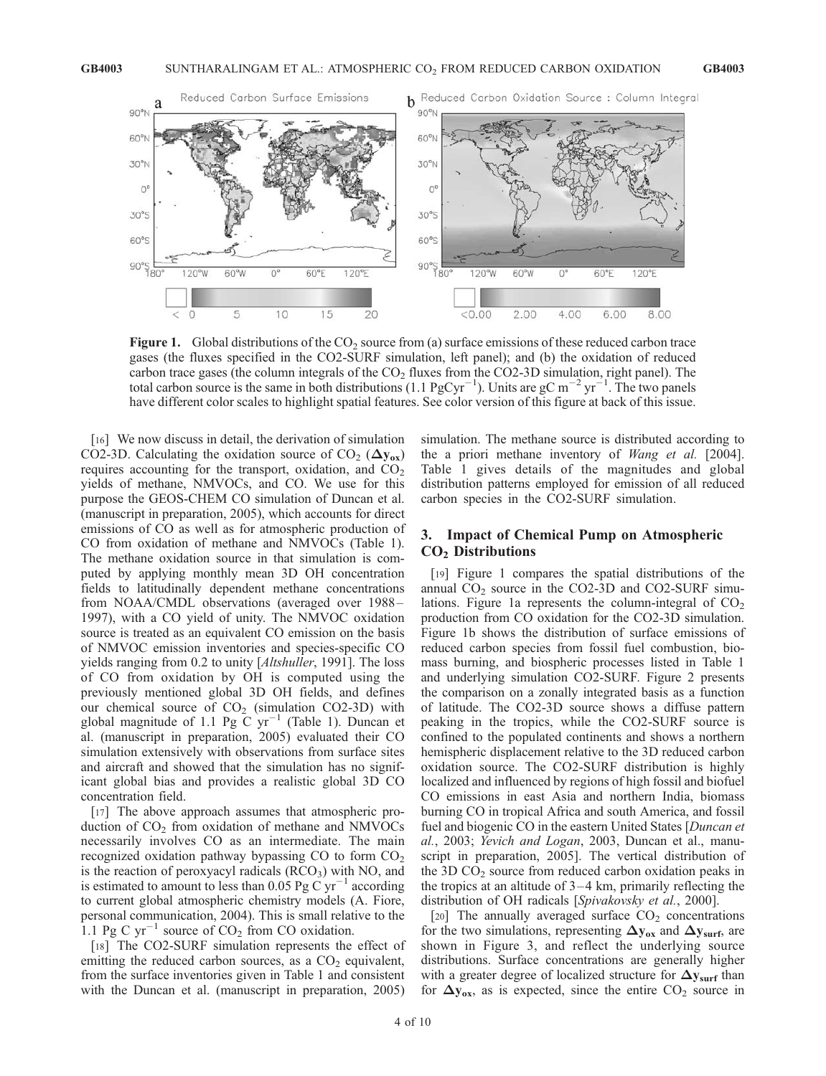

**Figure 1.** Global distributions of the  $CO<sub>2</sub>$  source from (a) surface emissions of these reduced carbon trace gases (the fluxes specified in the CO2-SURF simulation, left panel); and (b) the oxidation of reduced carbon trace gases (the column integrals of the  $CO<sub>2</sub>$  fluxes from the CO2-3D simulation, right panel). The total carbon source is the same in both distributions (1.1  $PgCyr^{-1}$ ). Units are  $gC m^{-2} yr^{-1}$ . The two panels have different color scales to highlight spatial features. See color version of this figure at back of this issue.

[16] We now discuss in detail, the derivation of simulation CO2-3D. Calculating the oxidation source of CO<sub>2</sub> ( $\Delta y_{ox}$ ) requires accounting for the transport, oxidation, and  $CO<sub>2</sub>$ yields of methane, NMVOCs, and CO. We use for this purpose the GEOS-CHEM CO simulation of Duncan et al. (manuscript in preparation, 2005), which accounts for direct emissions of CO as well as for atmospheric production of CO from oxidation of methane and NMVOCs (Table 1). The methane oxidation source in that simulation is computed by applying monthly mean 3D OH concentration fields to latitudinally dependent methane concentrations from NOAA/CMDL observations (averaged over 1988 – 1997), with a CO yield of unity. The NMVOC oxidation source is treated as an equivalent CO emission on the basis of NMVOC emission inventories and species-specific CO yields ranging from 0.2 to unity [Altshuller, 1991]. The loss of CO from oxidation by OH is computed using the previously mentioned global 3D OH fields, and defines our chemical source of  $CO<sub>2</sub>$  (simulation CO2-3D) with global magnitude of 1.1 Pg  $\overline{C}$  yr<sup>-1</sup> (Table 1). Duncan et al. (manuscript in preparation, 2005) evaluated their CO simulation extensively with observations from surface sites and aircraft and showed that the simulation has no significant global bias and provides a realistic global 3D CO concentration field.

[17] The above approach assumes that atmospheric production of  $CO<sub>2</sub>$  from oxidation of methane and NMVOCs necessarily involves CO as an intermediate. The main recognized oxidation pathway bypassing  $CO$  to form  $CO<sub>2</sub>$ is the reaction of peroxyacyl radicals  $(RCO<sub>3</sub>)$  with NO, and is estimated to amount to less than 0.05 Pg C  $yr^{-1}$  according to current global atmospheric chemistry models (A. Fiore, personal communication, 2004). This is small relative to the 1.1 Pg C  $yr^{-1}$  source of CO<sub>2</sub> from CO oxidation.

[18] The CO2-SURF simulation represents the effect of emitting the reduced carbon sources, as a  $CO<sub>2</sub>$  equivalent, from the surface inventories given in Table 1 and consistent with the Duncan et al. (manuscript in preparation, 2005) simulation. The methane source is distributed according to the a priori methane inventory of Wang et al. [2004]. Table 1 gives details of the magnitudes and global distribution patterns employed for emission of all reduced carbon species in the CO2-SURF simulation.

## 3. Impact of Chemical Pump on Atmospheric CO2 Distributions

[19] Figure 1 compares the spatial distributions of the annual  $CO<sub>2</sub>$  source in the CO2-3D and CO2-SURF simulations. Figure 1a represents the column-integral of  $CO<sub>2</sub>$ production from CO oxidation for the CO2-3D simulation. Figure 1b shows the distribution of surface emissions of reduced carbon species from fossil fuel combustion, biomass burning, and biospheric processes listed in Table 1 and underlying simulation CO2-SURF. Figure 2 presents the comparison on a zonally integrated basis as a function of latitude. The CO2-3D source shows a diffuse pattern peaking in the tropics, while the CO2-SURF source is confined to the populated continents and shows a northern hemispheric displacement relative to the 3D reduced carbon oxidation source. The CO2-SURF distribution is highly localized and influenced by regions of high fossil and biofuel CO emissions in east Asia and northern India, biomass burning CO in tropical Africa and south America, and fossil fuel and biogenic CO in the eastern United States [Duncan et al., 2003; Yevich and Logan, 2003, Duncan et al., manuscript in preparation, 2005]. The vertical distribution of the 3D  $CO<sub>2</sub>$  source from reduced carbon oxidation peaks in the tropics at an altitude of  $3-4$  km, primarily reflecting the distribution of OH radicals [Spivakovsky et al., 2000].

[20] The annually averaged surface  $CO<sub>2</sub>$  concentrations for the two simulations, representing  $\Delta y_{ox}$  and  $\Delta y_{surf}$ , are shown in Figure 3, and reflect the underlying source distributions. Surface concentrations are generally higher with a greater degree of localized structure for  $\Delta y_{\text{surf}}$  than for  $\Delta y_{ox}$ , as is expected, since the entire CO<sub>2</sub> source in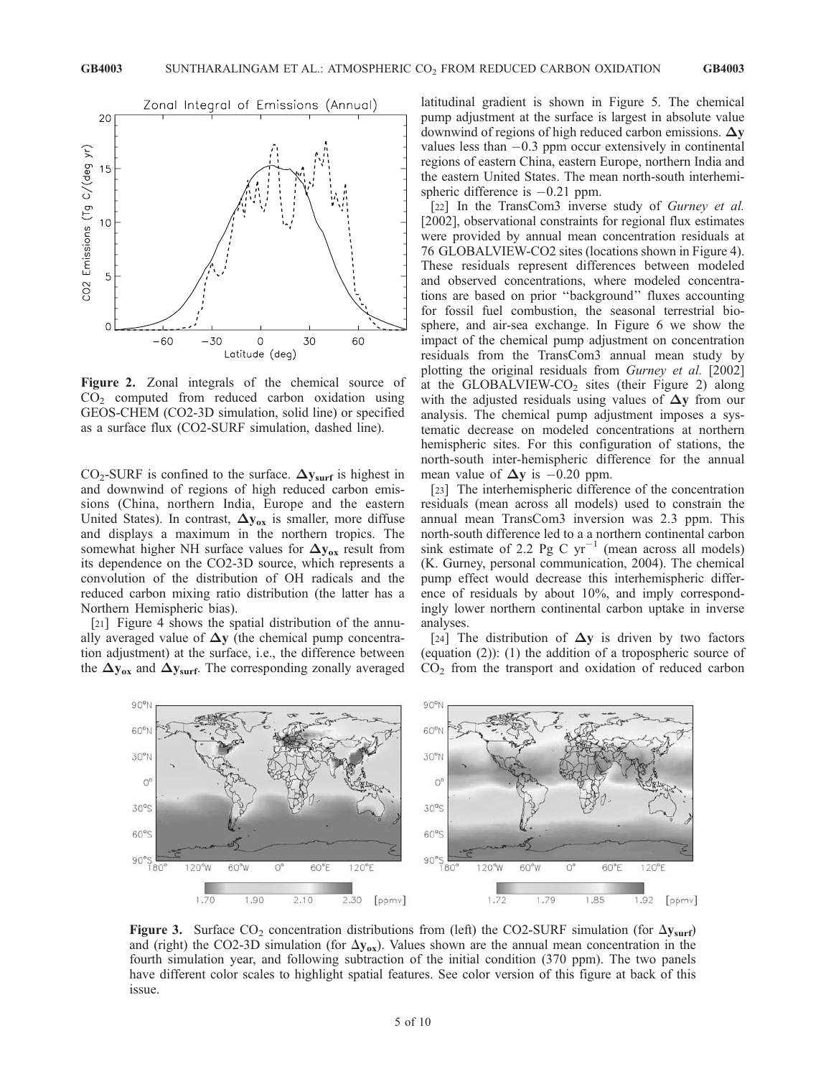

Figure 2. Zonal integrals of the chemical source of  $CO<sub>2</sub>$  computed from reduced carbon oxidation using GEOS-CHEM (CO2-3D simulation, solid line) or specified as a surface flux (CO2-SURF simulation, dashed line).

 $CO_2$ -SURF is confined to the surface.  $\Delta y_{\text{surf}}$  is highest in and downwind of regions of high reduced carbon emissions (China, northern India, Europe and the eastern United States). In contrast,  $\Delta y_{ox}$  is smaller, more diffuse and displays a maximum in the northern tropics. The somewhat higher NH surface values for  $\Delta y_{ox}$  result from its dependence on the CO2-3D source, which represents a convolution of the distribution of OH radicals and the reduced carbon mixing ratio distribution (the latter has a Northern Hemispheric bias).

[21] Figure 4 shows the spatial distribution of the annually averaged value of  $\Delta y$  (the chemical pump concentration adjustment) at the surface, i.e., the difference between the  $\Delta y_{ox}$  and  $\Delta y_{surf}$ . The corresponding zonally averaged

latitudinal gradient is shown in Figure 5. The chemical pump adjustment at the surface is largest in absolute value downwind of regions of high reduced carbon emissions.  $\Delta y$ values less than  $-0.3$  ppm occur extensively in continental regions of eastern China, eastern Europe, northern India and the eastern United States. The mean north-south interhemispheric difference is  $-0.21$  ppm.

[22] In the TransCom3 inverse study of Gurney et al. [2002], observational constraints for regional flux estimates were provided by annual mean concentration residuals at 76 GLOBALVIEW-CO2 sites (locations shown in Figure 4). These residuals represent differences between modeled and observed concentrations, where modeled concentrations are based on prior ''background'' fluxes accounting for fossil fuel combustion, the seasonal terrestrial biosphere, and air-sea exchange. In Figure 6 we show the impact of the chemical pump adjustment on concentration residuals from the TransCom3 annual mean study by plotting the original residuals from Gurney et al. [2002] at the GLOBALVIEW-CO<sub>2</sub> sites (their Figure 2) along with the adjusted residuals using values of  $\Delta y$  from our analysis. The chemical pump adjustment imposes a systematic decrease on modeled concentrations at northern hemispheric sites. For this configuration of stations, the north-south inter-hemispheric difference for the annual mean value of  $\Delta y$  is  $-0.20$  ppm.

[23] The interhemispheric difference of the concentration residuals (mean across all models) used to constrain the annual mean TransCom3 inversion was 2.3 ppm. This north-south difference led to a a northern continental carbon sink estimate of 2.2 Pg C  $yr^{-1}$  (mean across all models) (K. Gurney, personal communication, 2004). The chemical pump effect would decrease this interhemispheric difference of residuals by about 10%, and imply correspondingly lower northern continental carbon uptake in inverse analyses.

[24] The distribution of  $\Delta y$  is driven by two factors (equation (2)): (1) the addition of a tropospheric source of CO2 from the transport and oxidation of reduced carbon



Figure 3. Surface  $CO_2$  concentration distributions from (left) the CO2-SURF simulation (for  $\Delta y_{surf}$ ) and (right) the CO2-3D simulation (for  $\Delta y_{ox}$ ). Values shown are the annual mean concentration in the fourth simulation year, and following subtraction of the initial condition (370 ppm). The two panels have different color scales to highlight spatial features. See color version of this figure at back of this issue.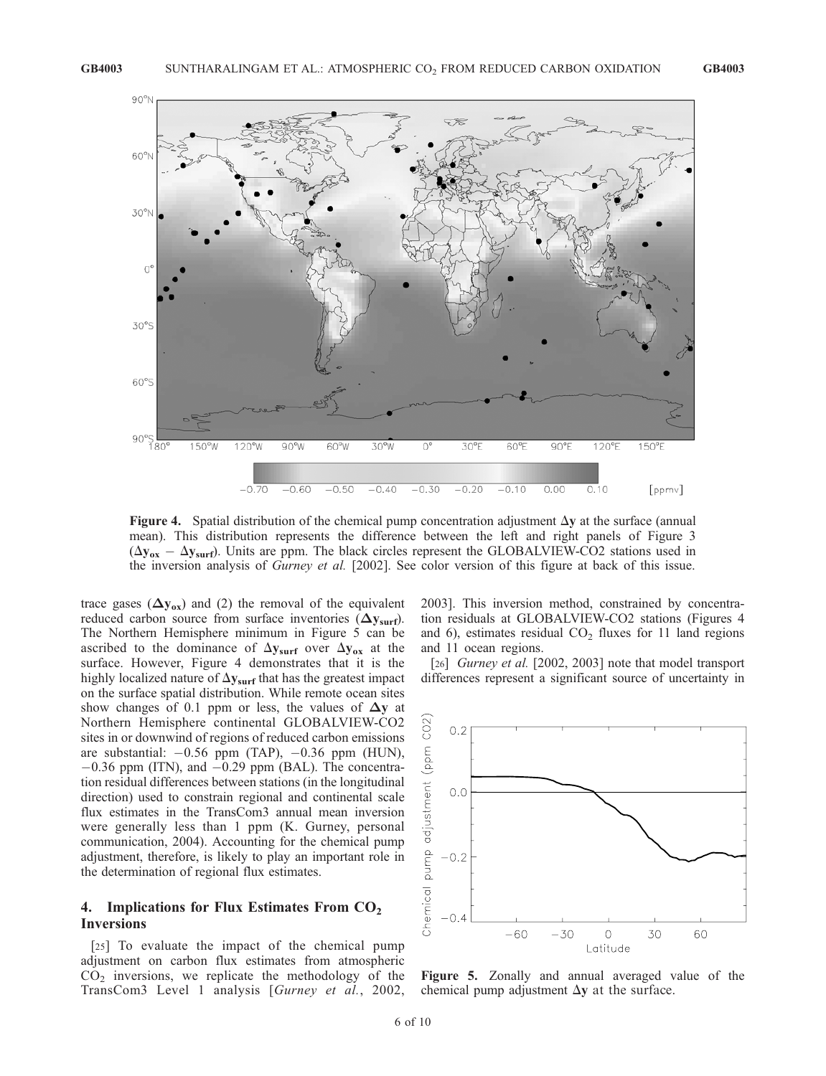

Figure 4. Spatial distribution of the chemical pump concentration adjustment  $\Delta y$  at the surface (annual mean). This distribution represents the difference between the left and right panels of Figure 3  $(\Delta y_{ox} - \Delta y_{surf})$ . Units are ppm. The black circles represent the GLOBALVIEW-CO2 stations used in the inversion analysis of Gurney et al. [2002]. See color version of this figure at back of this issue.

trace gases  $(\Delta y_{ox})$  and (2) the removal of the equivalent reduced carbon source from surface inventories  $(\Delta y_{surf})$ . The Northern Hemisphere minimum in Figure 5 can be ascribed to the dominance of  $\Delta y_{\text{surf}}$  over  $\Delta y_{\text{ox}}$  at the surface. However, Figure 4 demonstrates that it is the highly localized nature of  $\Delta y_{\text{surf}}$  that has the greatest impact on the surface spatial distribution. While remote ocean sites show changes of 0.1 ppm or less, the values of  $\Delta y$  at Northern Hemisphere continental GLOBALVIEW-CO2 sites in or downwind of regions of reduced carbon emissions are substantial:  $-0.56$  ppm (TAP),  $-0.36$  ppm (HUN),  $-0.36$  ppm (ITN), and  $-0.29$  ppm (BAL). The concentration residual differences between stations (in the longitudinal direction) used to constrain regional and continental scale flux estimates in the TransCom3 annual mean inversion were generally less than 1 ppm (K. Gurney, personal communication, 2004). Accounting for the chemical pump adjustment, therefore, is likely to play an important role in the determination of regional flux estimates.

## 4. Implications for Flux Estimates From  $CO<sub>2</sub>$ Inversions

[25] To evaluate the impact of the chemical pump adjustment on carbon flux estimates from atmospheric  $CO<sub>2</sub>$  inversions, we replicate the methodology of the TransCom3 Level 1 analysis [Gurney et al., 2002, 2003]. This inversion method, constrained by concentration residuals at GLOBALVIEW-CO2 stations (Figures 4 and 6), estimates residual  $CO<sub>2</sub>$  fluxes for 11 land regions and 11 ocean regions.

[26] *Gurney et al.* [2002, 2003] note that model transport differences represent a significant source of uncertainty in



Figure 5. Zonally and annual averaged value of the chemical pump adjustment  $\Delta y$  at the surface.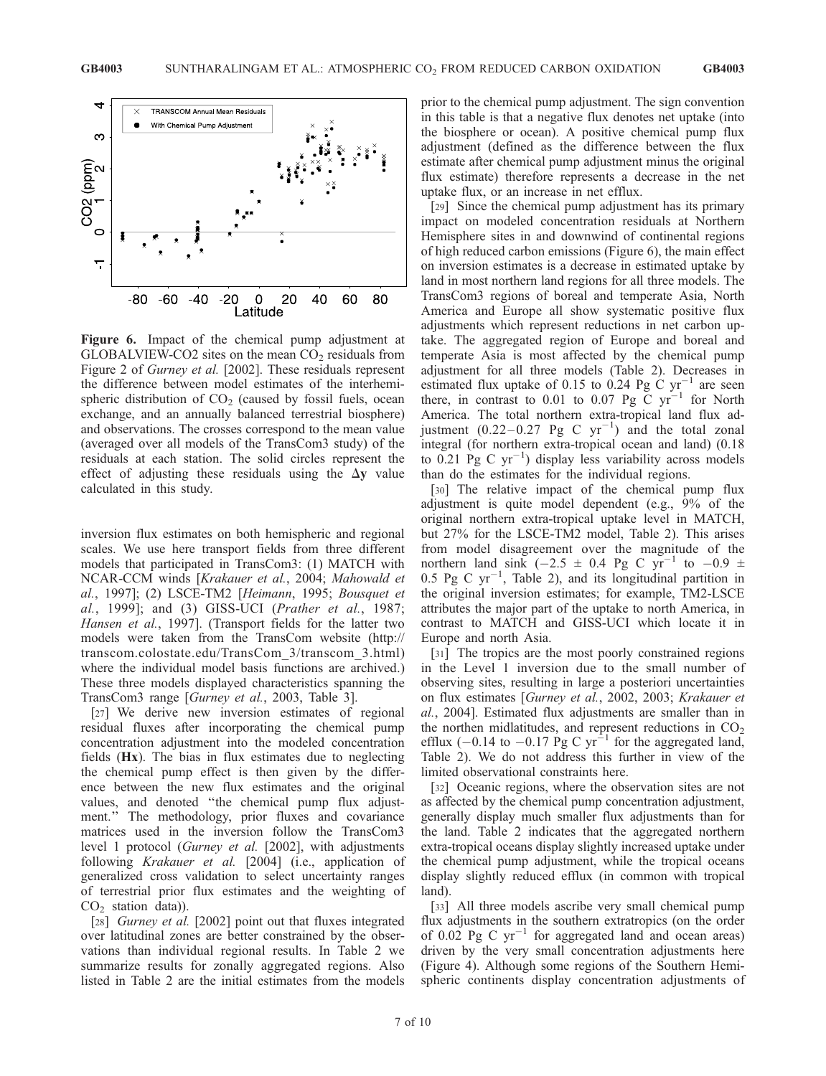

Figure 6. Impact of the chemical pump adjustment at  $GLOBALVIEW$ - $CO2$  sites on the mean  $CO<sub>2</sub>$  residuals from Figure 2 of Gurney et al. [2002]. These residuals represent the difference between model estimates of the interhemispheric distribution of  $CO<sub>2</sub>$  (caused by fossil fuels, ocean exchange, and an annually balanced terrestrial biosphere) and observations. The crosses correspond to the mean value (averaged over all models of the TransCom3 study) of the residuals at each station. The solid circles represent the effect of adjusting these residuals using the  $\Delta y$  value calculated in this study.

inversion flux estimates on both hemispheric and regional scales. We use here transport fields from three different models that participated in TransCom3: (1) MATCH with NCAR-CCM winds [Krakauer et al., 2004; Mahowald et al., 1997]; (2) LSCE-TM2 [Heimann, 1995; Bousquet et al., 1999]; and (3) GISS-UCI (Prather et al., 1987; Hansen et al., 1997]. (Transport fields for the latter two models were taken from the TransCom website (http:// transcom.colostate.edu/TransCom\_3/transcom\_3.html) where the individual model basis functions are archived.) These three models displayed characteristics spanning the TransCom3 range [Gurney et al., 2003, Table 3].

[27] We derive new inversion estimates of regional residual fluxes after incorporating the chemical pump concentration adjustment into the modeled concentration fields (Hx). The bias in flux estimates due to neglecting the chemical pump effect is then given by the difference between the new flux estimates and the original values, and denoted ''the chemical pump flux adjustment.'' The methodology, prior fluxes and covariance matrices used in the inversion follow the TransCom3 level 1 protocol (Gurney et al. [2002], with adjustments following Krakauer et al. [2004] (i.e., application of generalized cross validation to select uncertainty ranges of terrestrial prior flux estimates and the weighting of  $CO<sub>2</sub>$  station data)).

[28] *Gurney et al.* [2002] point out that fluxes integrated over latitudinal zones are better constrained by the observations than individual regional results. In Table 2 we summarize results for zonally aggregated regions. Also listed in Table 2 are the initial estimates from the models

prior to the chemical pump adjustment. The sign convention in this table is that a negative flux denotes net uptake (into the biosphere or ocean). A positive chemical pump flux adjustment (defined as the difference between the flux estimate after chemical pump adjustment minus the original flux estimate) therefore represents a decrease in the net uptake flux, or an increase in net efflux.

[29] Since the chemical pump adjustment has its primary impact on modeled concentration residuals at Northern Hemisphere sites in and downwind of continental regions of high reduced carbon emissions (Figure 6), the main effect on inversion estimates is a decrease in estimated uptake by land in most northern land regions for all three models. The TransCom3 regions of boreal and temperate Asia, North America and Europe all show systematic positive flux adjustments which represent reductions in net carbon uptake. The aggregated region of Europe and boreal and temperate Asia is most affected by the chemical pump adjustment for all three models (Table 2). Decreases in estimated flux uptake of 0.15 to 0.24 Pg C  $yr^{-1}$  are seen there, in contrast to 0.01 to 0.07 Pg C  $yr^{-1}$  for North America. The total northern extra-tropical land flux adjustment  $(0.22-0.27 \text{ Pg C yr}^{-1})$  and the total zonal integral (for northern extra-tropical ocean and land) (0.18 to  $0.21$  Pg C yr<sup>-1</sup>) display less variability across models than do the estimates for the individual regions.

[30] The relative impact of the chemical pump flux adjustment is quite model dependent (e.g., 9% of the original northern extra-tropical uptake level in MATCH, but 27% for the LSCE-TM2 model, Table 2). This arises from model disagreement over the magnitude of the northern land sink  $(-2.5 \pm 0.4$  Pg C yr<sup>-1</sup> to  $-0.9 \pm 0.4$  $0.5$  Pg C yr<sup>-1</sup>, Table 2), and its longitudinal partition in the original inversion estimates; for example, TM2-LSCE attributes the major part of the uptake to north America, in contrast to MATCH and GISS-UCI which locate it in Europe and north Asia.

[31] The tropics are the most poorly constrained regions in the Level 1 inversion due to the small number of observing sites, resulting in large a posteriori uncertainties on flux estimates [Gurney et al., 2002, 2003; Krakauer et al., 2004]. Estimated flux adjustments are smaller than in the northen midlatitudes, and represent reductions in  $CO<sub>2</sub>$ efflux  $(-0.14$  to  $-0.17$  Pg C yr<sup>-1</sup> for the aggregated land, Table 2). We do not address this further in view of the limited observational constraints here.

[32] Oceanic regions, where the observation sites are not as affected by the chemical pump concentration adjustment, generally display much smaller flux adjustments than for the land. Table 2 indicates that the aggregated northern extra-tropical oceans display slightly increased uptake under the chemical pump adjustment, while the tropical oceans display slightly reduced efflux (in common with tropical land).

[33] All three models ascribe very small chemical pump flux adjustments in the southern extratropics (on the order of 0.02 Pg C  $yr^{-1}$  for aggregated land and ocean areas) driven by the very small concentration adjustments here (Figure 4). Although some regions of the Southern Hemispheric continents display concentration adjustments of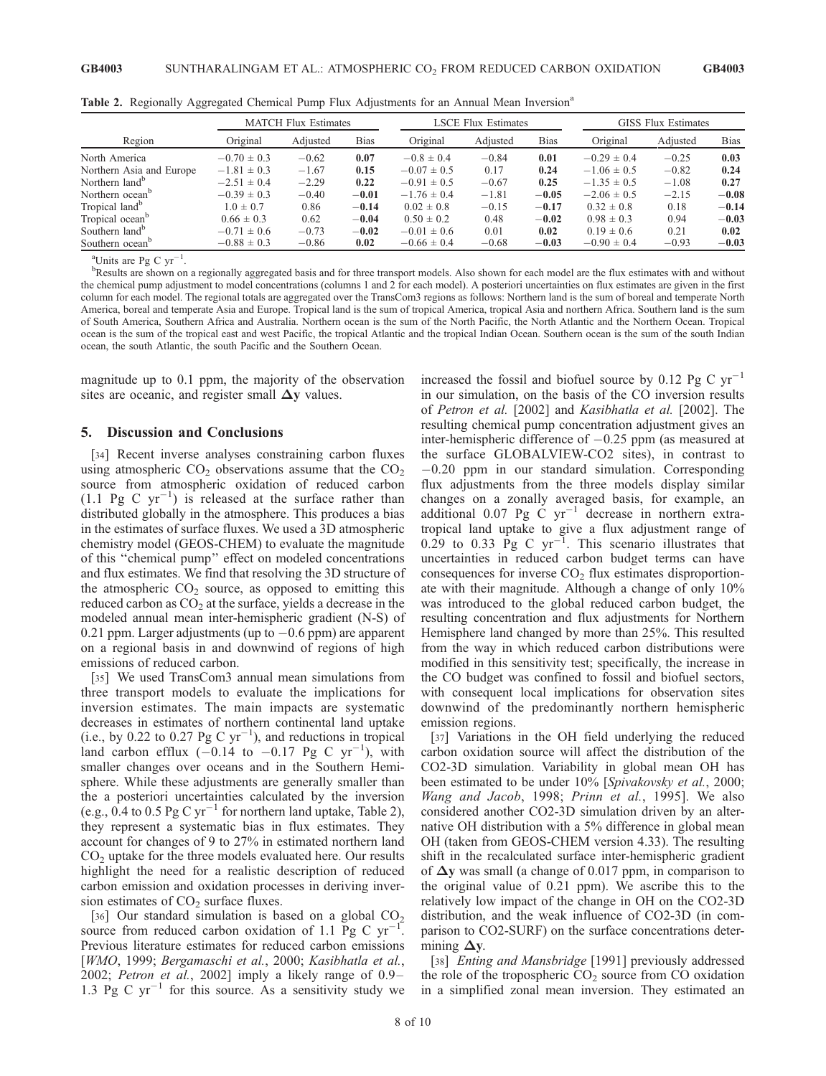|                             | <b>MATCH Flux Estimates</b> |          |             | <b>LSCE Flux Estimates</b> |          |             | <b>GISS Flux Estimates</b> |          |             |
|-----------------------------|-----------------------------|----------|-------------|----------------------------|----------|-------------|----------------------------|----------|-------------|
| Region                      | Original                    | Adiusted | <b>Bias</b> | Original                   | Adiusted | <b>Bias</b> | Original                   | Adjusted | <b>Bias</b> |
| North America               | $-0.70 \pm 0.3$             | $-0.62$  | 0.07        | $-0.8 \pm 0.4$             | $-0.84$  | 0.01        | $-0.29 \pm 0.4$            | $-0.25$  | 0.03        |
| Northern Asia and Europe    | $-1.81 \pm 0.3$             | $-1.67$  | 0.15        | $-0.07 \pm 0.5$            | 0.17     | 0.24        | $-1.06 \pm 0.5$            | $-0.82$  | 0.24        |
| Northern land <sup>b</sup>  | $-2.51 \pm 0.4$             | $-2.29$  | 0.22        | $-0.91 \pm 0.5$            | $-0.67$  | 0.25        | $-1.35 \pm 0.5$            | $-1.08$  | 0.27        |
| Northern ocean <sup>b</sup> | $-0.39 \pm 0.3$             | $-0.40$  | $-0.01$     | $-1.76 \pm 0.4$            | $-1.81$  | $-0.05$     | $-2.06 \pm 0.5$            | $-2.15$  | $-0.08$     |
| Tropical land <sup>b</sup>  | $1.0 \pm 0.7$               | 0.86     | $-0.14$     | $0.02 \pm 0.8$             | $-0.15$  | $-0.17$     | $0.32 \pm 0.8$             | 0.18     | $-0.14$     |
| Tropical ocean <sup>b</sup> | $0.66 \pm 0.3$              | 0.62     | $-0.04$     | $0.50 \pm 0.2$             | 0.48     | $-0.02$     | $0.98 \pm 0.3$             | 0.94     | $-0.03$     |
| Southern land <sup>b</sup>  | $-0.71 \pm 0.6$             | $-0.73$  | $-0.02$     | $-0.01 \pm 0.6$            | 0.01     | 0.02        | $0.19 \pm 0.6$             | 0.21     | 0.02        |
| Southern ocean <sup>b</sup> | $-0.88 \pm 0.3$             | $-0.86$  | 0.02        | $-0.66 \pm 0.4$            | $-0.68$  | $-0.03$     | $-0.90 \pm 0.4$            | $-0.93$  | $-0.03$     |

Table 2. Regionally Aggregated Chemical Pump Flux Adjustments for an Annual Mean Inversion<sup>a</sup>

<sup>a</sup>Units are Pg C  $yr^{-1}$ .

<sup>b</sup>Results are shown on a regionally aggregated basis and for three transport models. Also shown for each model are the flux estimates with and without the chemical pump adjustment to model concentrations (columns 1 and 2 for each model). A posteriori uncertainties on flux estimates are given in the first column for each model. The regional totals are aggregated over the TransCom3 regions as follows: Northern land is the sum of boreal and temperate North America, boreal and temperate Asia and Europe. Tropical land is the sum of tropical America, tropical Asia and northern Africa. Southern land is the sum of South America, Southern Africa and Australia. Northern ocean is the sum of the North Pacific, the North Atlantic and the Northern Ocean. Tropical ocean is the sum of the tropical east and west Pacific, the tropical Atlantic and the tropical Indian Ocean. Southern ocean is the sum of the south Indian ocean, the south Atlantic, the south Pacific and the Southern Ocean.

magnitude up to 0.1 ppm, the majority of the observation sites are oceanic, and register small  $\Delta v$  values.

#### 5. Discussion and Conclusions

[34] Recent inverse analyses constraining carbon fluxes using atmospheric  $CO_2$  observations assume that the  $CO_2$ source from atmospheric oxidation of reduced carbon  $(1.1 \text{ Pg C yr}^{-1})$  is released at the surface rather than distributed globally in the atmosphere. This produces a bias in the estimates of surface fluxes. We used a 3D atmospheric chemistry model (GEOS-CHEM) to evaluate the magnitude of this ''chemical pump'' effect on modeled concentrations and flux estimates. We find that resolving the 3D structure of the atmospheric  $CO<sub>2</sub>$  source, as opposed to emitting this reduced carbon as  $CO<sub>2</sub>$  at the surface, yields a decrease in the modeled annual mean inter-hemispheric gradient (N-S) of 0.21 ppm. Larger adjustments (up to  $-0.6$  ppm) are apparent on a regional basis in and downwind of regions of high emissions of reduced carbon.

[35] We used TransCom3 annual mean simulations from three transport models to evaluate the implications for inversion estimates. The main impacts are systematic decreases in estimates of northern continental land uptake (i.e., by 0.22 to 0.27 Pg C  $yr^{-1}$ ), and reductions in tropical land carbon efflux  $(-0.14 \text{ to } -0.17 \text{ pg C yr}^{-1})$ , with smaller changes over oceans and in the Southern Hemisphere. While these adjustments are generally smaller than the a posteriori uncertainties calculated by the inversion (e.g., 0.4 to 0.5 Pg C  $yr^{-1}$  for northern land uptake, Table 2), they represent a systematic bias in flux estimates. They account for changes of 9 to 27% in estimated northern land  $CO<sub>2</sub>$  uptake for the three models evaluated here. Our results highlight the need for a realistic description of reduced carbon emission and oxidation processes in deriving inversion estimates of  $CO<sub>2</sub>$  surface fluxes.

[36] Our standard simulation is based on a global  $CO<sub>2</sub>$ source from reduced carbon oxidation of 1.1 Pg C  $yr$ <sup>-</sup> . Previous literature estimates for reduced carbon emissions [WMO, 1999; Bergamaschi et al., 2000; Kasibhatla et al., 2002; Petron et al., 2002] imply a likely range of 0.9– 1.3 Pg C  $yr^{-1}$  for this source. As a sensitivity study we increased the fossil and biofuel source by 0.12 Pg C  $yr^{-1}$ in our simulation, on the basis of the CO inversion results of Petron et al. [2002] and Kasibhatla et al. [2002]. The resulting chemical pump concentration adjustment gives an inter-hemispheric difference of  $-0.25$  ppm (as measured at the surface GLOBALVIEW-CO2 sites), in contrast to  $-0.20$  ppm in our standard simulation. Corresponding flux adjustments from the three models display similar changes on a zonally averaged basis, for example, an additional 0.07 Pg  $\check{C}$  yr<sup>-1</sup> decrease in northern extratropical land uptake to give a flux adjustment range of  $0.29$  to  $0.33$  Pg C yr<sup>-1</sup>. This scenario illustrates that uncertainties in reduced carbon budget terms can have consequences for inverse  $CO<sub>2</sub>$  flux estimates disproportionate with their magnitude. Although a change of only 10% was introduced to the global reduced carbon budget, the resulting concentration and flux adjustments for Northern Hemisphere land changed by more than 25%. This resulted from the way in which reduced carbon distributions were modified in this sensitivity test; specifically, the increase in the CO budget was confined to fossil and biofuel sectors, with consequent local implications for observation sites downwind of the predominantly northern hemispheric emission regions.

[37] Variations in the OH field underlying the reduced carbon oxidation source will affect the distribution of the CO2-3D simulation. Variability in global mean OH has been estimated to be under 10% [Spivakovsky et al., 2000; Wang and Jacob, 1998; Prinn et al., 1995]. We also considered another CO2-3D simulation driven by an alternative OH distribution with a 5% difference in global mean OH (taken from GEOS-CHEM version 4.33). The resulting shift in the recalculated surface inter-hemispheric gradient of  $\Delta y$  was small (a change of 0.017 ppm, in comparison to the original value of 0.21 ppm). We ascribe this to the relatively low impact of the change in OH on the CO2-3D distribution, and the weak influence of CO2-3D (in comparison to CO2-SURF) on the surface concentrations determining  $\Delta y$ .

[38] *Enting and Mansbridge* [1991] previously addressed the role of the tropospheric  $CO<sub>2</sub>$  source from CO oxidation in a simplified zonal mean inversion. They estimated an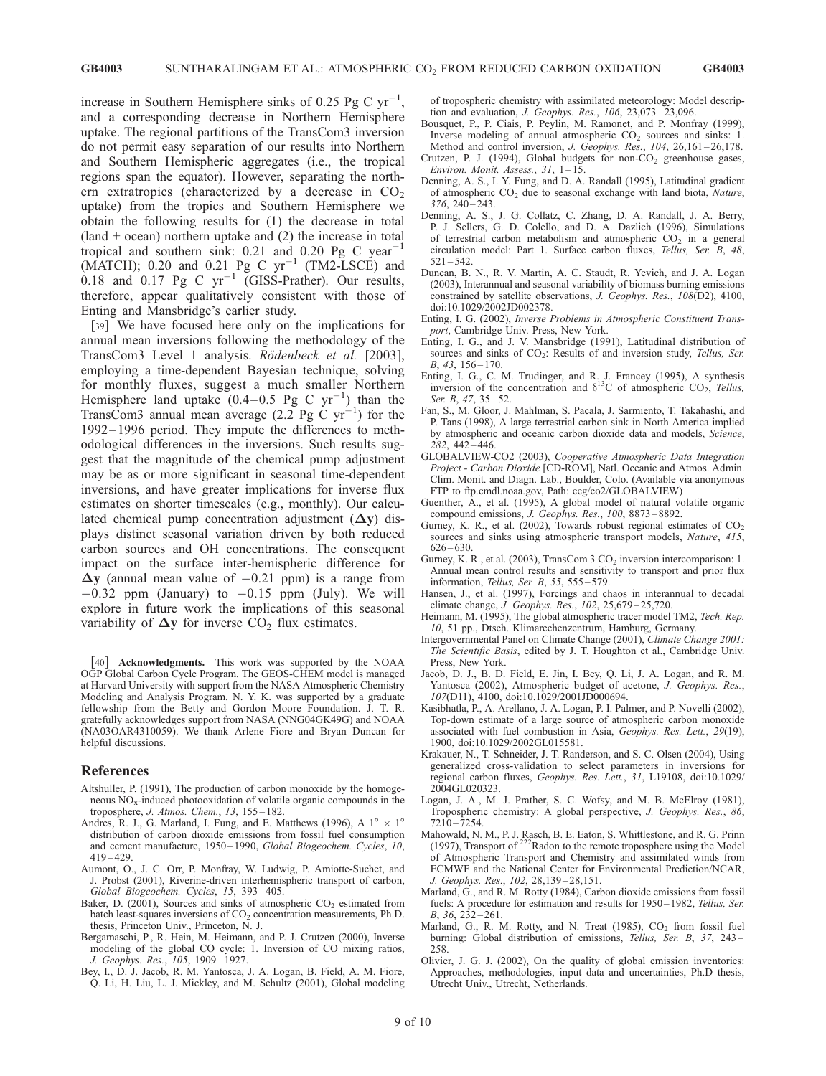increase in Southern Hemisphere sinks of 0.25 Pg C  $yr^{-1}$ , and a corresponding decrease in Northern Hemisphere uptake. The regional partitions of the TransCom3 inversion do not permit easy separation of our results into Northern and Southern Hemispheric aggregates (i.e., the tropical regions span the equator). However, separating the northern extratropics (characterized by a decrease in  $CO<sub>2</sub>$ uptake) from the tropics and Southern Hemisphere we obtain the following results for (1) the decrease in total  $(land + ocean)$  northern uptake and  $(2)$  the increase in total tropical and southern sink:  $0.21$  and  $0.20$  Pg C year<sup>-1</sup> (MATCH); 0.20 and 0.21 Pg C  $yr^{-1}$  (TM2-LSCE) and  $0.18$  and  $0.17$  Pg C yr<sup>-1</sup> (GISS-Prather). Our results, therefore, appear qualitatively consistent with those of Enting and Mansbridge's earlier study.

[39] We have focused here only on the implications for annual mean inversions following the methodology of the TransCom3 Level 1 analysis. Rödenbeck et al. [2003], employing a time-dependent Bayesian technique, solving for monthly fluxes, suggest a much smaller Northern Hemisphere land uptake  $(0.4-0.5 \text{ Pg C yr}^{-1})$  than the TransCom3 annual mean average  $(2.2 \text{ Pg C yr}^{-1})$  for the 1992 – 1996 period. They impute the differences to methodological differences in the inversions. Such results suggest that the magnitude of the chemical pump adjustment may be as or more significant in seasonal time-dependent inversions, and have greater implications for inverse flux estimates on shorter timescales (e.g., monthly). Our calculated chemical pump concentration adjustment  $(\Delta y)$  displays distinct seasonal variation driven by both reduced carbon sources and OH concentrations. The consequent impact on the surface inter-hemispheric difference for  $\Delta y$  (annual mean value of  $-0.21$  ppm) is a range from  $-0.32$  ppm (January) to  $-0.15$  ppm (July). We will explore in future work the implications of this seasonal variability of  $\Delta y$  for inverse  $CO<sub>2</sub>$  flux estimates.

[40] Acknowledgments. This work was supported by the NOAA OGP Global Carbon Cycle Program. The GEOS-CHEM model is managed at Harvard University with support from the NASA Atmospheric Chemistry Modeling and Analysis Program. N. Y. K. was supported by a graduate fellowship from the Betty and Gordon Moore Foundation. J. T. R. gratefully acknowledges support from NASA (NNG04GK49G) and NOAA (NA03OAR4310059). We thank Arlene Fiore and Bryan Duncan for helpful discussions.

#### References

- Altshuller, P. (1991), The production of carbon monoxide by the homogeneous  $NO<sub>x</sub>$ -induced photooxidation of volatile organic compounds in the troposphere, J. Atmos. Chem., 13, 155 – 182.
- Andres, R. J., G. Marland, I. Fung, and E. Matthews (1996), A  $1^{\circ} \times 1^{\circ}$ distribution of carbon dioxide emissions from fossil fuel consumption and cement manufacture, 1950-1990, Global Biogeochem. Cycles, 10, 419 – 429.
- Aumont, O., J. C. Orr, P. Monfray, W. Ludwig, P. Amiotte-Suchet, and J. Probst (2001), Riverine-driven interhemispheric transport of carbon, Global Biogeochem. Cycles, 15, 393 – 405.
- Baker, D. (2001), Sources and sinks of atmospheric  $CO<sub>2</sub>$  estimated from batch least-squares inversions of  $CO<sub>2</sub>$  concentration measurements, Ph.D. thesis, Princeton Univ., Princeton, N. J.
- Bergamaschi, P., R. Hein, M. Heimann, and P. J. Crutzen (2000), Inverse modeling of the global CO cycle: 1. Inversion of CO mixing ratios, J. Geophys. Res., 105, 1909 – 1927.
- Bey, I., D. J. Jacob, R. M. Yantosca, J. A. Logan, B. Field, A. M. Fiore, Q. Li, H. Liu, L. J. Mickley, and M. Schultz (2001), Global modeling

of tropospheric chemistry with assimilated meteorology: Model description and evaluation, J. Geophys. Res., 106, 23,073 – 23,096.

- Bousquet, P., P. Ciais, P. Peylin, M. Ramonet, and P. Monfray (1999), Inverse modeling of annual atmospheric  $CO<sub>2</sub>$  sources and sinks: 1. Method and control inversion, J. Geophys. Res., 104, 26,161-26,178.
- Crutzen, P. J. (1994), Global budgets for non- $CO<sub>2</sub>$  greenhouse gases, Environ. Monit. Assess.,  $31, 1-15$ .
- Denning, A. S., I. Y. Fung, and D. A. Randall (1995), Latitudinal gradient of atmospheric CO<sub>2</sub> due to seasonal exchange with land biota, Nature,  $376.240 - 243.$
- Denning, A. S., J. G. Collatz, C. Zhang, D. A. Randall, J. A. Berry, P. J. Sellers, G. D. Colello, and D. A. Dazlich (1996), Simulations of terrestrial carbon metabolism and atmospheric  $CO<sub>2</sub>$  in a general circulation model: Part 1. Surface carbon fluxes, Tellus, Ser. B, 48,  $521 - 542.$
- Duncan, B. N., R. V. Martin, A. C. Staudt, R. Yevich, and J. A. Logan (2003), Interannual and seasonal variability of biomass burning emissions constrained by satellite observations, J. Geophys. Res., 108(D2), 4100, doi:10.1029/2002JD002378.
- Enting, I. G. (2002), Inverse Problems in Atmospheric Constituent Transport, Cambridge Univ. Press, New York.
- Enting, I. G., and J. V. Mansbridge (1991), Latitudinal distribution of sources and sinks of CO<sub>2</sub>: Results of and inversion study, Tellus, Ser. B, 43, 156-170.
- Enting, I. G., C. M. Trudinger, and R. J. Francey (1995), A synthesis inversion of the concentration and  $\delta^{13}$ C of atmospheric CO<sub>2</sub>, Tellus, Ser. B, 47, 35-52.
- Fan, S., M. Gloor, J. Mahlman, S. Pacala, J. Sarmiento, T. Takahashi, and P. Tans (1998), A large terrestrial carbon sink in North America implied by atmospheric and oceanic carbon dioxide data and models, Science, 282, 442 – 446.
- GLOBALVIEW-CO2 (2003), Cooperative Atmospheric Data Integration Project - Carbon Dioxide [CD-ROM], Natl. Oceanic and Atmos. Admin. Clim. Monit. and Diagn. Lab., Boulder, Colo. (Available via anonymous FTP to ftp.cmdl.noaa.gov, Path: ccg/co2/GLOBALVIEW)
- Guenther, A., et al. (1995), A global model of natural volatile organic compound emissions, J. Geophys. Res., 100, 8873 – 8892.
- Gurney, K. R., et al. (2002), Towards robust regional estimates of  $CO<sub>2</sub>$ sources and sinks using atmospheric transport models, Nature, 415, 626 – 630.
- Gurney, K. R., et al. (2003), TransCom  $3 \text{ CO}_2$  inversion intercomparison: 1. Annual mean control results and sensitivity to transport and prior flux information, Tellus, Ser. B, 55, 555 – 579.
- Hansen, J., et al. (1997), Forcings and chaos in interannual to decadal climate change, J. Geophys. Res., 102, 25,679 – 25,720.
- Heimann, M. (1995), The global atmospheric tracer model TM2, Tech. Rep. 10, 51 pp., Dtsch. Klimarechenzentrum, Hamburg, Germany.
- Intergovernmental Panel on Climate Change (2001), Climate Change 2001: The Scientific Basis, edited by J. T. Houghton et al., Cambridge Univ. Press, New York.
- Jacob, D. J., B. D. Field, E. Jin, I. Bey, Q. Li, J. A. Logan, and R. M. Yantosca (2002), Atmospheric budget of acetone, J. Geophys. Res., 107(D11), 4100, doi:10.1029/2001JD000694.
- Kasibhatla, P., A. Arellano, J. A. Logan, P. I. Palmer, and P. Novelli (2002), Top-down estimate of a large source of atmospheric carbon monoxide associated with fuel combustion in Asia, Geophys. Res. Lett., 29(19), 1900, doi:10.1029/2002GL015581.
- Krakauer, N., T. Schneider, J. T. Randerson, and S. C. Olsen (2004), Using generalized cross-validation to select parameters in inversions for regional carbon fluxes, Geophys. Res. Lett., 31, L19108, doi:10.1029/ 2004GL020323.
- Logan, J. A., M. J. Prather, S. C. Wofsy, and M. B. McElroy (1981), Tropospheric chemistry: A global perspective, J. Geophys. Res., 86,  $7210 - 7254$
- Mahowald, N. M., P. J. Rasch, B. E. Eaton, S. Whittlestone, and R. G. Prinn (1997), Transport of <sup>222</sup>Radon to the remote troposphere using the Model of Atmospheric Transport and Chemistry and assimilated winds from ECMWF and the National Center for Environmental Prediction/NCAR, J. Geophys. Res., 102, 28,139 – 28,151.
- Marland, G., and R. M. Rotty (1984), Carbon dioxide emissions from fossil fuels: A procedure for estimation and results for 1950-1982, Tellus, Ser.  $B, 36, 232 - 261.$
- Marland, G., R. M. Rotty, and N. Treat  $(1985)$ ,  $CO<sub>2</sub>$  from fossil fuel burning: Global distribution of emissions, *Tellus*, *Ser. B*, 37, 243– 258.
- Olivier, J. G. J. (2002), On the quality of global emission inventories: Approaches, methodologies, input data and uncertainties, Ph.D thesis, Utrecht Univ., Utrecht, Netherlands.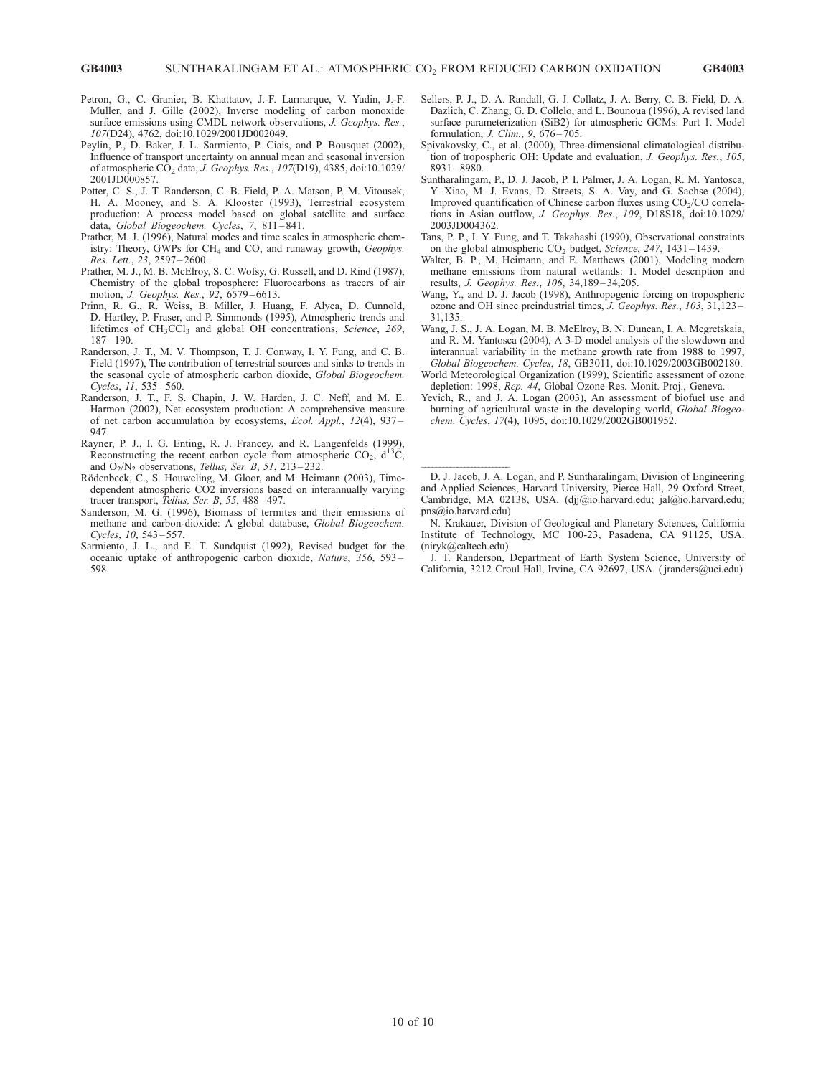- Petron, G., C. Granier, B. Khattatov, J.-F. Larmarque, V. Yudin, J.-F. Muller, and J. Gille (2002), Inverse modeling of carbon monoxide surface emissions using CMDL network observations, J. Geophys. Res., 107(D24), 4762, doi:10.1029/2001JD002049.
- Peylin, P., D. Baker, J. L. Sarmiento, P. Ciais, and P. Bousquet (2002), Influence of transport uncertainty on annual mean and seasonal inversion of atmospheric  $\overrightarrow{CO}_2$  data, J. Geophys. Res., 107(D19), 4385, doi:10.1029/ 2001JD000857.
- Potter, C. S., J. T. Randerson, C. B. Field, P. A. Matson, P. M. Vitousek, H. A. Mooney, and S. A. Klooster (1993), Terrestrial ecosystem production: A process model based on global satellite and surface data, Global Biogeochem. Cycles, 7, 811-841.
- Prather, M. J. (1996), Natural modes and time scales in atmospheric chemistry: Theory, GWPs for CH<sub>4</sub> and CO, and runaway growth, Geophys. Res. Lett., 23, 2597 – 2600.
- Prather, M. J., M. B. McElroy, S. C. Wofsy, G. Russell, and D. Rind (1987), Chemistry of the global troposphere: Fluorocarbons as tracers of air motion, *J. Geophys. Res.*, 92, 6579-6613.
- Prinn, R. G., R. Weiss, B. Miller, J. Huang, F. Alyea, D. Cunnold, D. Hartley, P. Fraser, and P. Simmonds (1995), Atmospheric trends and lifetimes of CH<sub>3</sub>CCl<sub>3</sub> and global OH concentrations, Science, 269,  $187 - 190.$
- Randerson, J. T., M. V. Thompson, T. J. Conway, I. Y. Fung, and C. B. Field (1997), The contribution of terrestrial sources and sinks to trends in the seasonal cycle of atmospheric carbon dioxide, Global Biogeochem. Cycles, 11, 535 – 560.
- Randerson, J. T., F. S. Chapin, J. W. Harden, J. C. Neff, and M. E. Harmon (2002), Net ecosystem production: A comprehensive measure of net carbon accumulation by ecosystems, Ecol. Appl., 12(4), 937 – 947.
- Rayner, P. J., I. G. Enting, R. J. Francey, and R. Langenfelds (1999), Reconstructing the recent carbon cycle from atmospheric  $CO<sub>2</sub>$ ,  $d<sup>13</sup>C$ , and  $O_2/N_2$  observations, *Tellus, Ser. B*, 51, 213-232.
- Rödenbeck, C., S. Houweling, M. Gloor, and M. Heimann (2003), Timedependent atmospheric CO2 inversions based on interannually varying tracer transport, Tellus, Ser. B, 55, 488-497.
- Sanderson, M. G. (1996), Biomass of termites and their emissions of methane and carbon-dioxide: A global database, Global Biogeochem. Cycles, 10, 543 – 557.
- Sarmiento, J. L., and E. T. Sundquist (1992), Revised budget for the oceanic uptake of anthropogenic carbon dioxide, Nature, 356, 593 – 598.
- Sellers, P. J., D. A. Randall, G. J. Collatz, J. A. Berry, C. B. Field, D. A. Dazlich, C. Zhang, G. D. Collelo, and L. Bounoua (1996), A revised land surface parameterization (SiB2) for atmospheric GCMs: Part 1. Model formulation, *J. Clim.*, 9, 676-705.
- Spivakovsky, C., et al. (2000), Three-dimensional climatological distribution of tropospheric OH: Update and evaluation, J. Geophys. Res., 105, 8931 – 8980.
- Suntharalingam, P., D. J. Jacob, P. I. Palmer, J. A. Logan, R. M. Yantosca, Y. Xiao, M. J. Evans, D. Streets, S. A. Vay, and G. Sachse (2004), Improved quantification of Chinese carbon fluxes using  $CO<sub>2</sub>/CO$  correlations in Asian outflow, J. Geophys. Res., 109, D18S18, doi:10.1029/ 2003JD004362.
- Tans, P. P., I. Y. Fung, and T. Takahashi (1990), Observational constraints on the global atmospheric  $CO<sub>2</sub>$  budget, *Science*, 247, 1431-1439.
- Walter, B. P., M. Heimann, and E. Matthews (2001), Modeling modern methane emissions from natural wetlands: 1. Model description and results, J. Geophys. Res., 106, 34,189 – 34,205.
- Wang, Y., and D. J. Jacob (1998), Anthropogenic forcing on tropospheric ozone and OH since preindustrial times, J. Geophys. Res., 103, 31,123 – 31,135.
- Wang, J. S., J. A. Logan, M. B. McElroy, B. N. Duncan, I. A. Megretskaia, and R. M. Yantosca (2004), A 3-D model analysis of the slowdown and interannual variability in the methane growth rate from 1988 to 1997, Global Biogeochem. Cycles, 18, GB3011, doi:10.1029/2003GB002180.
- World Meteorological Organization (1999), Scientific assessment of ozone depletion: 1998, Rep. 44, Global Ozone Res. Monit. Proj., Geneva.
- Yevich, R., and J. A. Logan (2003), An assessment of biofuel use and burning of agricultural waste in the developing world, Global Biogeochem. Cycles, 17(4), 1095, doi:10.1029/2002GB001952.

 D. J. Jacob, J. A. Logan, and P. Suntharalingam, Division of Engineering and Applied Sciences, Harvard University, Pierce Hall, 29 Oxford Street, Cambridge, MA 02138, USA. (djj@io.harvard.edu; jal@io.harvard.edu; pns@io.harvard.edu)

N. Krakauer, Division of Geological and Planetary Sciences, California Institute of Technology, MC 100-23, Pasadena, CA 91125, USA. (niryk@caltech.edu)

J. T. Randerson, Department of Earth System Science, University of California, 3212 Croul Hall, Irvine, CA 92697, USA. ( jranders@uci.edu)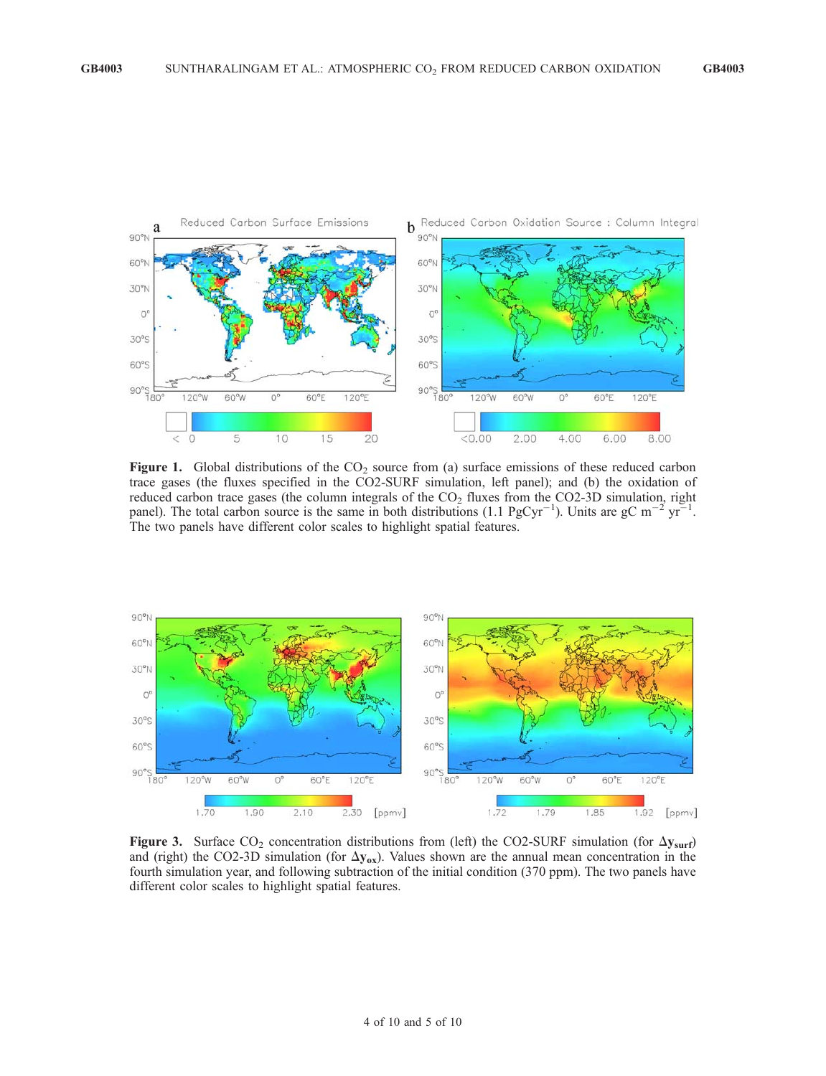

Figure 1. Global distributions of the  $CO<sub>2</sub>$  source from (a) surface emissions of these reduced carbon trace gases (the fluxes specified in the CO2-SURF simulation, left panel); and (b) the oxidation of reduced carbon trace gases (the column integrals of the  $CO<sub>2</sub>$  fluxes from the CO2-3D simulation, right panel). The total carbon source is the same in both distributions (1.1 PgCyr<sup>-1</sup>). Units are gC m<sup>-2</sup> yr<sup>-1</sup>. The two panels have different color scales to highlight spatial features.



Figure 3. Surface  $CO_2$  concentration distributions from (left) the CO2-SURF simulation (for  $\Delta y_{\text{surf}}$ ) and (right) the CO2-3D simulation (for  $\Delta y_{ox}$ ). Values shown are the annual mean concentration in the fourth simulation year, and following subtraction of the initial condition (370 ppm). The two panels have different color scales to highlight spatial features.